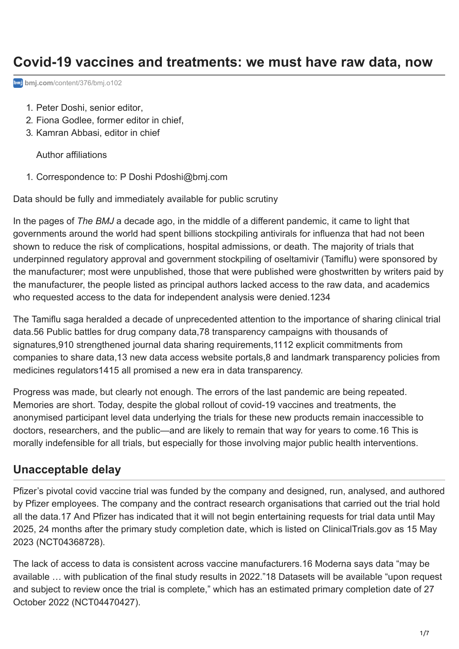# **Covid-19 vaccines and treatments: we must have raw data, now**

**bmj.com**[/content/376/bmj.o102](https://www.bmj.com/content/376/bmj.o102)

- 1. Peter Doshi, senior editor,
- 2. Fiona Godlee, former editor in chief,
- 3. Kamran Abbasi, editor in chief

Author affiliations

1. Correspondence to: P Doshi [Pdoshi@bmj.com](mailto:Pdoshi@bmj.com)

Data should be fully and immediately available for public scrutiny

In the pages of *The BMJ* a decade ago, in the middle of a different pandemic, it came to light that governments around the world had spent billions stockpiling antivirals for influenza that had not been shown to reduce the risk of complications, hospital admissions, or death. The majority of trials that underpinned regulatory approval and government stockpiling of oseltamivir (Tamiflu) were sponsored by the manufacturer; most were unpublished, those that were published were ghostwritten by writers paid by the manufacturer, the people listed as principal authors lacked access to the raw data, and academics who requested access to the data for independent analysis were denied.[1](#page-3-0)[2](#page-3-1)[3](#page-3-2)[4](#page-3-3)

<span id="page-0-11"></span><span id="page-0-10"></span><span id="page-0-9"></span><span id="page-0-8"></span><span id="page-0-7"></span><span id="page-0-6"></span><span id="page-0-5"></span><span id="page-0-4"></span><span id="page-0-3"></span><span id="page-0-2"></span><span id="page-0-1"></span><span id="page-0-0"></span>The Tamiflu saga heralded a decade of unprecedented attention to the importance of sharing clinical trial data.[5](#page-3-4)[6](#page-3-5) Public battles for drug company data,[7](#page-3-6)[8](#page-3-7) transparency campaigns with thousands of signatures,[9](#page-3-8)[10](#page-3-9) strengthened journal data sharing requirements,[11](#page-3-10)[12](#page-4-0) explicit commitments from companies to share data,[13](#page-4-1) new data access website portals[,8](#page-3-7) and landmark transparency policies from medicines regulators[14](#page-4-2)[15](#page-4-3) all promised a new era in data transparency.

<span id="page-0-14"></span><span id="page-0-13"></span><span id="page-0-12"></span>Progress was made, but clearly not enough. The errors of the last pandemic are being repeated. Memories are short. Today, despite the global rollout of covid-19 vaccines and treatments, the anonymised participant level data underlying the trials for these new products remain inaccessible to doctors, researchers, and the public—and are likely to remain that way for years to come[.16](#page-4-4) This is morally indefensible for all trials, but especially for those involving major public health interventions.

## <span id="page-0-15"></span>**Unacceptable delay**

<span id="page-0-16"></span>Pfizer's pivotal covid vaccine trial was funded by the company and designed, run, analysed, and authored by Pfizer employees. The company and the contract research organisations that carried out the trial hold all the data[.17](#page-4-5) And Pfizer has indicated that it will not begin entertaining requests for trial data until May 2025, 24 months after the primary study completion date, which is listed on ClinicalTrials.gov as 15 May 2023 [\(NCT04368728](https://www.bmj.com/lookup/external-ref?link_type=CLINTRIALGOV&access_num=NCT04368728&atom=%2Fbmj%2F376%2Fbmj.o102.atom)).

<span id="page-0-17"></span>The lack of access to data is consistent across vaccine manufacturers.[16](#page-4-4) Moderna says data "may be available … with publication of the final study results in 2022.["18](#page-5-0) Datasets will be available "upon request and subject to review once the trial is complete," which has an estimated primary completion date of 27 October 2022 [\(NCT04470427](https://www.bmj.com/lookup/external-ref?link_type=CLINTRIALGOV&access_num=NCT04470427&atom=%2Fbmj%2F376%2Fbmj.o102.atom)).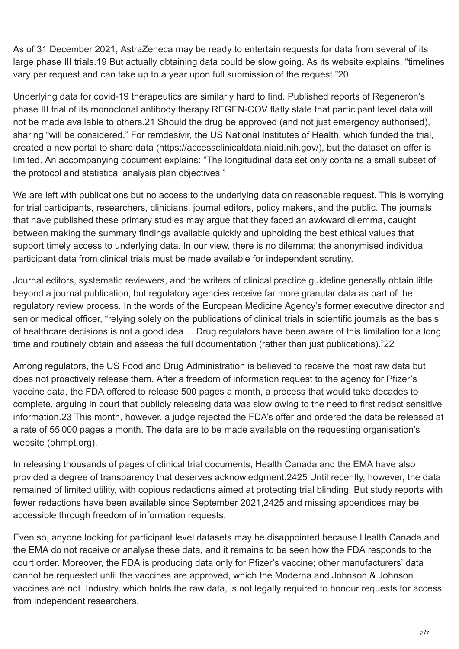<span id="page-1-0"></span>As of 31 December 2021, AstraZeneca may be ready to entertain requests for data from several of its large phase III trials.[19](#page-5-1) But actually obtaining data could be slow going. As its website explains, "timelines vary per request and can take up to a year upon full submission of the request."[20](#page-5-2)

<span id="page-1-2"></span><span id="page-1-1"></span>Underlying data for covid-19 therapeutics are similarly hard to find. Published reports of Regeneron's phase III trial of its monoclonal antibody therapy REGEN-COV flatly state that participant level data will not be made available to others.[21](#page-5-3) Should the drug be approved (and not just emergency authorised), sharing "will be considered." For remdesivir, the US National Institutes of Health, which funded the trial, created a new portal to share data [\(https://accessclinicaldata.niaid.nih.gov/](https://accessclinicaldata.niaid.nih.gov/)), but the dataset on offer is limited. An accompanying document explains: "The longitudinal data set only contains a small subset of the protocol and statistical analysis plan objectives."

We are left with publications but no access to the underlying data on reasonable request. This is worrying for trial participants, researchers, clinicians, journal editors, policy makers, and the public. The journals that have published these primary studies may argue that they faced an awkward dilemma, caught between making the summary findings available quickly and upholding the best ethical values that support timely access to underlying data. In our view, there is no dilemma; the anonymised individual participant data from clinical trials must be made available for independent scrutiny.

Journal editors, systematic reviewers, and the writers of clinical practice guideline generally obtain little beyond a journal publication, but regulatory agencies receive far more granular data as part of the regulatory review process. In the words of the European Medicine Agency's former executive director and senior medical officer, "relying solely on the publications of clinical trials in scientific journals as the basis of healthcare decisions is not a good idea ... Drug regulators have been aware of this limitation for a long time and routinely obtain and assess the full documentation (rather than just publications)."[22](#page-5-4)

<span id="page-1-3"></span>Among regulators, the US Food and Drug Administration is believed to receive the most raw data but does not proactively release them. After a freedom of information request to the agency for Pfizer's vaccine data, the FDA offered to release 500 pages a month, a process that would take decades to complete, arguing in court that publicly releasing data was slow owing to the need to first redact sensitive information.[23](#page-5-5) This month, however, a judge rejected the FDA's offer and ordered the data be released at a rate of 55 000 pages a month. The data are to be made available on the requesting organisation's website [\(phmpt.org](about:blank)).

<span id="page-1-6"></span><span id="page-1-5"></span><span id="page-1-4"></span>In releasing thousands of pages of clinical trial documents, Health Canada and the EMA have also provided a degree of transparency that deserves acknowledgment.[24](#page-5-6)[25](#page-6-0) Until recently, however, the data remained of limited utility, with copious redactions aimed at protecting trial blinding. But study reports with fewer redactions have been available since September 2021,[24](#page-5-6)[25](#page-6-0) and missing appendices may be accessible through freedom of information requests.

Even so, anyone looking for participant level datasets may be disappointed because Health Canada and the EMA do not receive or analyse these data, and it remains to be seen how the FDA responds to the court order. Moreover, the FDA is producing data only for Pfizer's vaccine; other manufacturers' data cannot be requested until the vaccines are approved, which the Moderna and Johnson & Johnson vaccines are not. Industry, which holds the raw data, is not legally required to honour requests for access from independent researchers.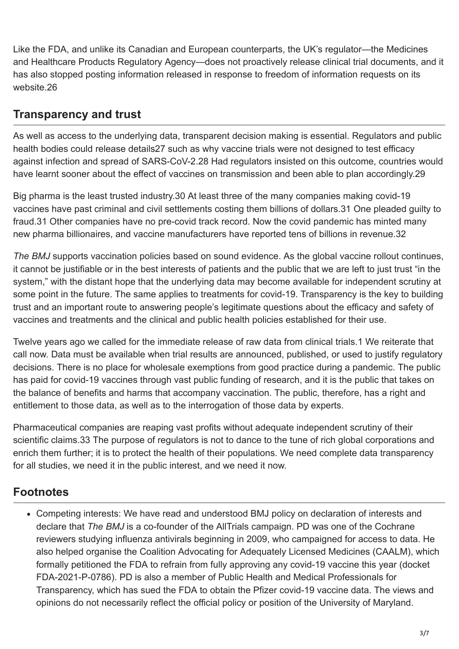Like the FDA, and unlike its Canadian and European counterparts, the UK's regulator—the Medicines and Healthcare Products Regulatory Agency—does not proactively release clinical trial documents, and it has also stopped posting information released in response to freedom of information requests on its website[.26](#page-6-1)

# <span id="page-2-0"></span>**Transparency and trust**

<span id="page-2-2"></span><span id="page-2-1"></span>As well as access to the underlying data, transparent decision making is essential. Regulators and public health bodies could release detail[s27](#page-6-2) such as why vaccine trials were not designed to test efficacy against infection and spread of SARS-CoV-2[.28](#page-6-3) Had regulators insisted on this outcome, countries would have learnt sooner about the effect of vaccines on transmission and been able to plan accordingly.[29](#page-6-4)

<span id="page-2-5"></span><span id="page-2-4"></span><span id="page-2-3"></span>Big pharma is the least trusted industry.[30](#page-6-5) At least three of the many companies making covid-19 vaccines have past criminal and civil settlements costing them billions of dollars.[31](#page-6-6) One pleaded guilty to fraud.[31](#page-6-6) Other companies have no pre-covid track record. Now the covid pandemic has minted many new pharma billionaires, and vaccine manufacturers have reported tens of billions in revenue[.32](#page-6-7)

<span id="page-2-6"></span>*The BMJ* supports vaccination policies based on sound evidence. As the global vaccine rollout continues, it cannot be justifiable or in the best interests of patients and the public that we are left to just trust "in the system," with the distant hope that the underlying data may become available for independent scrutiny at some point in the future. The same applies to treatments for covid-19. Transparency is the key to building trust and an important route to answering people's legitimate questions about the efficacy and safety of vaccines and treatments and the clinical and public health policies established for their use.

Twelve years ago we called for the immediate release of raw data from clinical trials.[1](#page-3-0) We reiterate that call now. Data must be available when trial results are announced, published, or used to justify regulatory decisions. There is no place for wholesale exemptions from good practice during a pandemic. The public has paid for covid-19 vaccines through vast public funding of research, and it is the public that takes on the balance of benefits and harms that accompany vaccination. The public, therefore, has a right and entitlement to those data, as well as to the interrogation of those data by experts.

<span id="page-2-7"></span>Pharmaceutical companies are reaping vast profits without adequate independent scrutiny of their scientific claims.[33](#page-6-8) The purpose of regulators is not to dance to the tune of rich global corporations and enrich them further; it is to protect the health of their populations. We need complete data transparency for all studies, we need it in the public interest, and we need it now.

# **Footnotes**

Competing interests: We have read and understood BMJ policy on declaration of interests and declare that *The BMJ* is a co-founder of the AllTrials campaign. PD was one of the Cochrane reviewers studying influenza antivirals beginning in 2009, who campaigned for access to data. He also helped organise the Coalition Advocating for Adequately Licensed Medicines (CAALM), which formally petitioned the FDA to refrain from fully approving any covid-19 vaccine this year (docket FDA-2021-P-0786). PD is also a member of Public Health and Medical Professionals for Transparency, which has sued the FDA to obtain the Pfizer covid-19 vaccine data. The views and opinions do not necessarily reflect the official policy or position of the University of Maryland.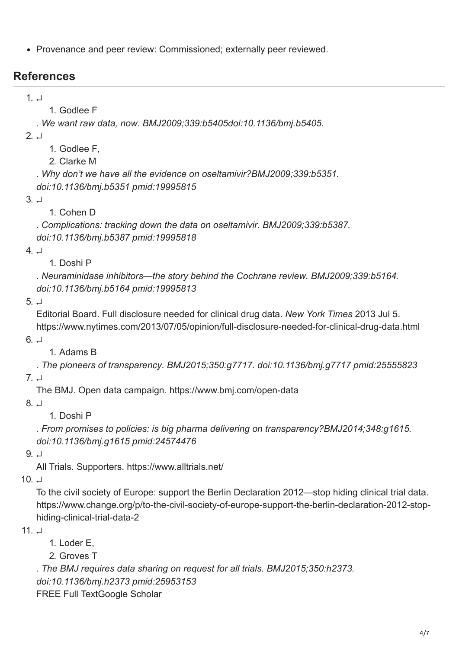Provenance and peer review: Commissioned; externally peer reviewed.

## **References**

<span id="page-3-0"></span>1. [↵](#page-0-0)

1. Godlee F

*. We want raw data, now. BMJ2009;339:b5405doi:10.1136/bmj.b5405.*

<span id="page-3-1"></span> $2^{\perp}$ 

1. Godlee F,

2. Clarke M

*. Why don't we have all the evidence on oseltamivir?BMJ2009;339:b5351. doi:10.1136/bmj.b5351 pmid:19995815*

<span id="page-3-2"></span>3. [↵](#page-0-2)

1. Cohen D

*. Complications: tracking down the data on oseltamivir. BMJ2009;339:b5387. doi:10.1136/bmj.b5387 pmid:19995818*

<span id="page-3-3"></span>4. [↵](#page-0-3)

### 1. Doshi P

*. Neuraminidase inhibitors—the story behind the Cochrane review. BMJ2009;339:b5164. doi:10.1136/bmj.b5164 pmid:19995813*

<span id="page-3-4"></span>5. [↵](#page-0-4)

Editorial Board. Full disclosure needed for clinical drug data. *New York Times* 2013 Jul 5. <https://www.nytimes.com/2013/07/05/opinion/full-disclosure-needed-for-clinical-drug-data.html>

<span id="page-3-5"></span> $6. \perp$ 

1. Adams B

*. The pioneers of transparency. BMJ2015;350:g7717. doi:10.1136/bmj.g7717 pmid:25555823*

<span id="page-3-6"></span>7. [↵](#page-0-6)

<span id="page-3-7"></span>8. [↵](#page-0-7)

The BMJ. Open data campaign. <https://www.bmj.com/open-data>

1. Doshi P

*. From promises to policies: is big pharma delivering on transparency?BMJ2014;348:g1615. doi:10.1136/bmj.g1615 pmid:24574476*

<span id="page-3-8"></span> $9.1$ 

All Trials. Supporters.<https://www.alltrials.net/>

 $10<sub>+</sub>$ 

<span id="page-3-9"></span>To the civil society of Europe: support the Berlin Declaration 2012—stop hiding clinical trial data. [https://www.change.org/p/to-the-civil-society-of-europe-support-the-berlin-declaration-2012-stop](https://www.change.org/p/to-the-civil-society-of-europe-support-the-berlin-declaration-2012-stop-hiding-clinical-trial-data-2)hiding-clinical-trial-data-2

<span id="page-3-10"></span> $11 \quad \Box$ 

1. Loder E,

2. Groves T

*. The BMJ requires data sharing on request for all trials. BMJ2015;350:h2373. doi:10.1136/bmj.h2373 pmid:25953153* [FREE Full Text](https://www.bmj.com/lookup/ijlink/YTozOntzOjQ6InBhdGgiO3M6MTQ6Ii9sb29rdXAvaWpsaW5rIjtzOjU6InF1ZXJ5IjthOjQ6e3M6ODoibGlua1R5cGUiO3M6NDoiRlVMTCI7czoxMToiam91cm5hbENvZGUiO3M6MzoiYm1qIjtzOjU6InJlc2lkIjtzOjE3OiIzNTAvbWF5MDdfNC9oMjM3MyI7czo0OiJhdG9tIjtzOjIyOiIvYm1qLzM3Ni9ibWoubzEwMi5hdG9tIjt9czo4OiJmcmFnbWVudCI7czowOiIiO30=)[Google Scholar](https://www.bmj.com/lookup/google-scholar?link_type=googlescholar&gs_type=article&author[0]=E+Loder&author[1]=T+Groves&title=The+BMJ+requires+data+sharing+on+request+for+all+trials&publication_year=2015&journal=BMJ&volume=350)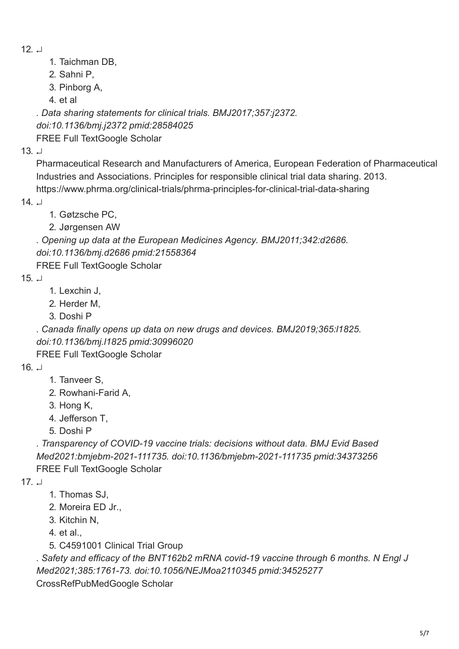- <span id="page-4-0"></span> $12. \pm 1$
- 1. Taichman DB,
- 2. Sahni P,
- 3. Pinborg A,
- 4. et al

*. Data sharing statements for clinical trials. BMJ2017;357:j2372. doi:10.1136/bmj.j2372 pmid:28584025* [FREE Full Text](https://www.bmj.com/lookup/ijlink/YTozOntzOjQ6InBhdGgiO3M6MTQ6Ii9sb29rdXAvaWpsaW5rIjtzOjU6InF1ZXJ5IjthOjQ6e3M6ODoibGlua1R5cGUiO3M6NDoiRlVMTCI7czoxMToiam91cm5hbENvZGUiO3M6MzoiYm1qIjtzOjU6InJlc2lkIjtzOjE3OiIzNTcvanVuMDJfOS9qMjM3MiI7czo0OiJhdG9tIjtzOjIyOiIvYm1qLzM3Ni9ibWoubzEwMi5hdG9tIjt9czo4OiJmcmFnbWVudCI7czowOiIiO30=)[Google Scholar](https://www.bmj.com/lookup/google-scholar?link_type=googlescholar&gs_type=article&author[0]=DB+Taichman&author[1]=P+Sahni&author[2]=A+Pinborg&title=Data+sharing+statements+for+clinical+trials&publication_year=2017&journal=BMJ&volume=357)

 $13. \; \Box$ 

<span id="page-4-1"></span>Pharmaceutical Research and Manufacturers of America, European Federation of Pharmaceutical Industries and Associations. Principles for responsible clinical trial data sharing. 2013. <https://www.phrma.org/clinical-trials/phrma-principles-for-clinical-trial-data-sharing>

<span id="page-4-2"></span> $14 \perp$ 

1. Gøtzsche PC,

2. Jørgensen AW

*. Opening up data at the European Medicines Agency. BMJ2011;342:d2686. doi:10.1136/bmj.d2686 pmid:21558364*

<span id="page-4-3"></span>[FREE Full Text](https://www.bmj.com/lookup/ijlink/YTozOntzOjQ6InBhdGgiO3M6MTQ6Ii9sb29rdXAvaWpsaW5rIjtzOjU6InF1ZXJ5IjthOjQ6e3M6ODoibGlua1R5cGUiO3M6NDoiRlVMTCI7czoxMToiam91cm5hbENvZGUiO3M6MzoiYm1qIjtzOjU6InJlc2lkIjtzOjE3OiIzNDIvbWF5MTBfMS9kMjY4NiI7czo0OiJhdG9tIjtzOjIyOiIvYm1qLzM3Ni9ibWoubzEwMi5hdG9tIjt9czo4OiJmcmFnbWVudCI7czowOiIiO30=)[Google Scholar](https://www.bmj.com/lookup/google-scholar?link_type=googlescholar&gs_type=article&author[0]=PC+G%C3%B8tzsche&author[1]=AW+J%C3%B8rgensen&title=Opening+up+data+at+the+European+Medicines+Agency&publication_year=2011&journal=BMJ&volume=342)

### 15. [↵](#page-0-14)

- 1. Lexchin J,
- 2. Herder M,
- 3. Doshi P

*. Canada finally opens up data on new drugs and devices. BMJ2019;365:l1825. doi:10.1136/bmj.l1825 pmid:30996020*

<span id="page-4-4"></span>[FREE Full Text](https://www.bmj.com/lookup/ijlink/YTozOntzOjQ6InBhdGgiO3M6MTQ6Ii9sb29rdXAvaWpsaW5rIjtzOjU6InF1ZXJ5IjthOjQ6e3M6ODoibGlua1R5cGUiO3M6NDoiRlVMTCI7czoxMToiam91cm5hbENvZGUiO3M6MzoiYm1qIjtzOjU6InJlc2lkIjtzOjE3OiIzNjUvYXByMTdfNS9sMTgyNSI7czo0OiJhdG9tIjtzOjIyOiIvYm1qLzM3Ni9ibWoubzEwMi5hdG9tIjt9czo4OiJmcmFnbWVudCI7czowOiIiO30=)[Google Scholar](https://www.bmj.com/lookup/google-scholar?link_type=googlescholar&gs_type=article&author[0]=J+Lexchin&author[1]=M+Herder&author[2]=P+Doshi&title=Canada+finally+opens+up+data+on+new+drugs+and+devices&publication_year=2019&journal=BMJ&volume=365)

- $16. \perp$
- 1. Tanveer S,
- 2. Rowhani-Farid A,
- 3. Hong K,
- 4. Jefferson T,

5. Doshi P

*. Transparency of COVID-19 vaccine trials: decisions without data. BMJ Evid Based Med2021:bmjebm-2021-111735. doi:10.1136/bmjebm-2021-111735 pmid:34373256* [FREE Full Text](https://www.bmj.com/lookup/ijlink/YTozOntzOjQ6InBhdGgiO3M6MTQ6Ii9sb29rdXAvaWpsaW5rIjtzOjU6InF1ZXJ5IjthOjQ6e3M6ODoibGlua1R5cGUiO3M6NDoiRlVMTCI7czoxMToiam91cm5hbENvZGUiO3M6NToiZWJtZWQiO3M6NToicmVzaWQiO3M6MjA6ImJtamVibS0yMDIxLTExMTczNXYxIjtzOjQ6ImF0b20iO3M6MjI6Ii9ibWovMzc2L2Jtai5vMTAyLmF0b20iO31zOjg6ImZyYWdtZW50IjtzOjA6IiI7fQ==)[Google Scholar](https://www.bmj.com/lookup/google-scholar?link_type=googlescholar&gs_type=article&author[0]=S+Tanveer&author[1]=A+Rowhani-Farid&author[2]=K+Hong&author[3]=T+Jefferson&author[4]=P+Doshi&title=Transparency+of+COVID-19+vaccine+trials:+decisions+without+data&publication_year=2021&journal=BMJ+Evid+Based+Med)

- <span id="page-4-5"></span> $17. \perp$
- 1. Thomas SJ,
- 2. Moreira ED Jr.,
- 3. Kitchin N,
- 4. et al.,
- 5. C4591001 Clinical Trial Group

*. Safety and efficacy of the BNT162b2 mRNA covid-19 vaccine through 6 months. N Engl J Med2021;385:1761-73. doi:10.1056/NEJMoa2110345 pmid:34525277*

[CrossRef](https://www.bmj.com/lookup/external-ref?access_num=10.1056/NEJMoa2110345&link_type=DOI)[PubMed](https://www.bmj.com/lookup/external-ref?access_num=34525277&link_type=MED&atom=%2Fbmj%2F376%2Fbmj.o102.atom)[Google Scholar](https://www.bmj.com/lookup/google-scholar?link_type=googlescholar&gs_type=article&author[0]=SJ+Thomas&author[1]=ED+Moreira&author[2]=N+Kitchin&author[3]=C4591001%20Clinical%20Trial%20Group&title=Safety+and+efficacy+of+the+BNT162b2+mRNA+covid-19+vaccine+through+6+months&publication_year=2021&journal=N+Engl+J+Med&volume=385&pages=1761-73)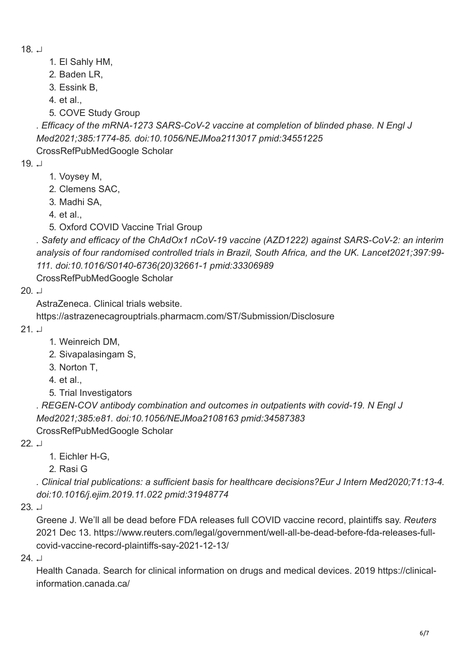- <span id="page-5-0"></span>18. [↵](#page-0-17)
- 1. El Sahly HM,
- 2. Baden LR,
- 3. Essink B,
- 4. et al.,
- 5. COVE Study Group

*. Efficacy of the mRNA-1273 SARS-CoV-2 vaccine at completion of blinded phase. N Engl J Med2021;385:1774-85. doi:10.1056/NEJMoa2113017 pmid:34551225*

<span id="page-5-1"></span>[CrossRef](https://www.bmj.com/lookup/external-ref?access_num=10.1056/NEJMoa2113017&link_type=DOI)[PubMed](https://www.bmj.com/lookup/external-ref?access_num=34551225&link_type=MED&atom=%2Fbmj%2F376%2Fbmj.o102.atom)[Google Scholar](https://www.bmj.com/lookup/google-scholar?link_type=googlescholar&gs_type=article&author[0]=HM+El%20Sahly&author[1]=LR+Baden&author[2]=B+Essink&author[3]=COVE%20Study%20Group&title=Efficacy+of+the+mRNA-1273+SARS-CoV-2+vaccine+at+completion+of+blinded+phase&publication_year=2021&journal=N+Engl+J+Med&volume=385&pages=1774-85)

- 19. [↵](#page-1-0)
- 1. Voysey M,
- 2. Clemens SAC,
- 3. Madhi SA,
- 4. et al.,
- 5. Oxford COVID Vaccine Trial Group

*. Safety and efficacy of the ChAdOx1 nCoV-19 vaccine (AZD1222) against SARS-CoV-2: an interim analysis of four randomised controlled trials in Brazil, South Africa, and the UK. Lancet2021;397:99- 111. doi:10.1016/S0140-6736(20)32661-1 pmid:33306989*

[CrossRef](https://www.bmj.com/lookup/external-ref?access_num=10.1016/S0140-6736(20)32661-1&link_type=DOI)[PubMed](https://www.bmj.com/lookup/external-ref?access_num=33306989&link_type=MED&atom=%2Fbmj%2F376%2Fbmj.o102.atom)[Google Scholar](https://www.bmj.com/lookup/google-scholar?link_type=googlescholar&gs_type=article&author[0]=M+Voysey&author[1]=SAC+Clemens&author[2]=SA+Madhi&author[3]=Oxford%20COVID%20Vaccine%20Trial%20Group&title=Safety+and+efficacy+of+the+ChAdOx1+nCoV-19+vaccine+(AZD1222)+against+SARS-CoV-2:+an+interim+analysis+of+four+randomised+controlled+trials+in+Brazil,+South+Africa,+and+the+UK&publication_year=2021&journal=Lancet&volume=397&pages=99-111)

 $20 \perp$ 

<span id="page-5-2"></span>AstraZeneca. Clinical trials website.

<span id="page-5-3"></span><https://astrazenecagrouptrials.pharmacm.com/ST/Submission/Disclosure>

 $21. \perp$ 

- 1. Weinreich DM,
- 2. Sivapalasingam S,
- 3. Norton T,
- 4. et al.,
- 5. Trial Investigators

*. REGEN-COV antibody combination and outcomes in outpatients with covid-19. N Engl J Med2021;385:e81. doi:10.1056/NEJMoa2108163 pmid:34587383* [CrossRef](https://www.bmj.com/lookup/external-ref?access_num=10.1056/NEJMoa2108163&link_type=DOI)[PubMed](https://www.bmj.com/lookup/external-ref?access_num=34587383&link_type=MED&atom=%2Fbmj%2F376%2Fbmj.o102.atom)[Google Scholar](https://www.bmj.com/lookup/google-scholar?link_type=googlescholar&gs_type=article&author[0]=DM+Weinreich&author[1]=S+Sivapalasingam&author[2]=T+Norton&author[3]=Trial%20Investigators&title=REGEN-COV+antibody+combination+and+outcomes+in+outpatients+with+covid-19&publication_year=2021&journal=N+Engl+J+Med&volume=385)

<span id="page-5-4"></span> $22<sub>1</sub>$ 

1. Eichler H-G,

2. Rasi G

*. Clinical trial publications: a sufficient basis for healthcare decisions?Eur J Intern Med2020;71:13-4. doi:10.1016/j.ejim.2019.11.022 pmid:31948774*

 $23.1$ 

<span id="page-5-5"></span>Greene J. We'll all be dead before FDA releases full COVID vaccine record, plaintiffs say. *Reuters* [2021 Dec 13. https://www.reuters.com/legal/government/well-all-be-dead-before-fda-releases-full](https://www.reuters.com/legal/government/well-all-be-dead-before-fda-releases-full-covid-vaccine-record-plaintiffs-say-2021-12-13/)covid-vaccine-record-plaintiffs-say-2021-12-13/

 $24. \perp$ 

<span id="page-5-6"></span>[Health Canada. Search for clinical information on drugs and medical devices. 2019 https://clinical](https://clinical-information.canada.ca/)information.canada.ca/